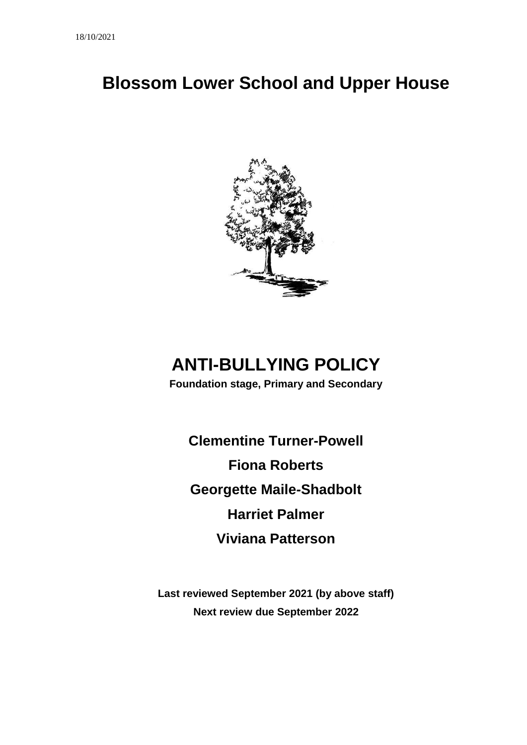# **Blossom Lower School and Upper House**



# **ANTI-BULLYING POLICY**

**Foundation stage, Primary and Secondary**

**Clementine Turner-Powell Fiona Roberts Georgette Maile-Shadbolt Harriet Palmer Viviana Patterson**

**Last reviewed September 2021 (by above staff) Next review due September 2022**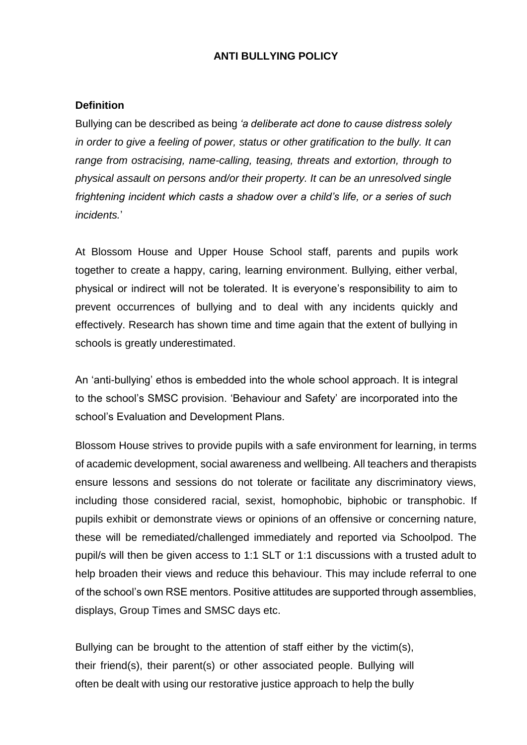#### **ANTI BULLYING POLICY**

#### **Definition**

Bullying can be described as being *'a deliberate act done to cause distress solely in order to give a feeling of power, status or other gratification to the bully. It can range from ostracising, name-calling, teasing, threats and extortion, through to physical assault on persons and/or their property. It can be an unresolved single frightening incident which casts a shadow over a child's life, or a series of such incidents.*'

At Blossom House and Upper House School staff, parents and pupils work together to create a happy, caring, learning environment. Bullying, either verbal, physical or indirect will not be tolerated. It is everyone's responsibility to aim to prevent occurrences of bullying and to deal with any incidents quickly and effectively. Research has shown time and time again that the extent of bullying in schools is greatly underestimated.

An 'anti-bullying' ethos is embedded into the whole school approach. It is integral to the school's SMSC provision. 'Behaviour and Safety' are incorporated into the school's Evaluation and Development Plans.

Blossom House strives to provide pupils with a safe environment for learning, in terms of academic development, social awareness and wellbeing. All teachers and therapists ensure lessons and sessions do not tolerate or facilitate any discriminatory views, including those considered racial, sexist, homophobic, biphobic or transphobic. If pupils exhibit or demonstrate views or opinions of an offensive or concerning nature, these will be remediated/challenged immediately and reported via Schoolpod. The pupil/s will then be given access to 1:1 SLT or 1:1 discussions with a trusted adult to help broaden their views and reduce this behaviour. This may include referral to one of the school's own RSE mentors. Positive attitudes are supported through assemblies, displays, Group Times and SMSC days etc.

Bullying can be brought to the attention of staff either by the victim(s), their friend(s), their parent(s) or other associated people. Bullying will often be dealt with using our restorative justice approach to help the bully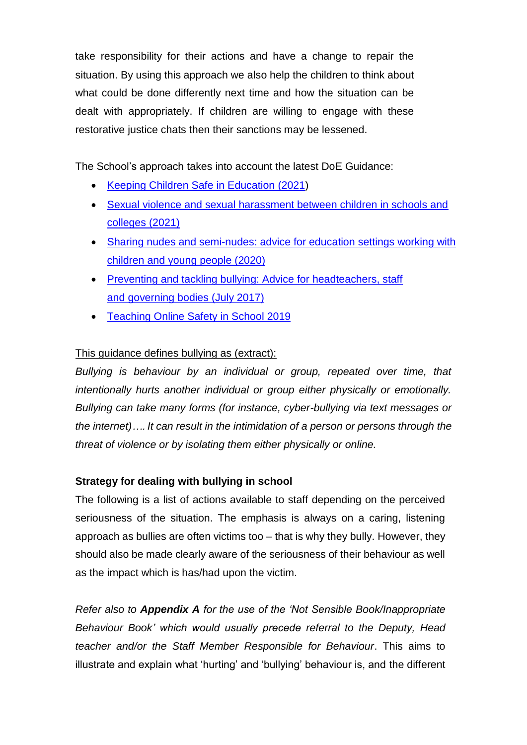take responsibility for their actions and have a change to repair the situation. By using this approach we also help the children to think about what could be done differently next time and how the situation can be dealt with appropriately. If children are willing to engage with these restorative justice chats then their sanctions may be lessened.

The School's approach takes into account the latest DoE Guidance:

- [Keeping Children Safe in Education \(2021\)](https://assets.publishing.service.gov.uk/government/uploads/system/uploads/attachment_data/file/1014057/KCSIE_2021_September.pdf)
- [Sexual violence and sexual harassment between children in schools and](https://assets.publishing.service.gov.uk/government/uploads/system/uploads/attachment_data/file/999239/SVSH_2021.pdf)  [colleges \(2021\)](https://assets.publishing.service.gov.uk/government/uploads/system/uploads/attachment_data/file/999239/SVSH_2021.pdf)
- [Sharing nudes and semi-nudes: advice for education settings working with](https://www.gov.uk/government/publications/sharing-nudes-and-semi-nudes-advice-for-education-settings-working-with-children-and-young-people/sharing-nudes-and-semi-nudes-advice-for-education-settings-working-with-children-and-young-people)  [children and young people \(2020\)](https://www.gov.uk/government/publications/sharing-nudes-and-semi-nudes-advice-for-education-settings-working-with-children-and-young-people/sharing-nudes-and-semi-nudes-advice-for-education-settings-working-with-children-and-young-people)
- Preventing and tackling bullying: Advice for headteachers, staff [and governing bodies \(July 2017\)](https://assets.publishing.service.gov.uk/government/uploads/system/uploads/attachment_data/file/623895/Preventing_and_tackling_bullying_advice.pdf)
- [Teaching Online Safety in School 2019](https://assets.publishing.service.gov.uk/government/uploads/system/uploads/attachment_data/file/811796/Teaching_online_safety_in_school.pdf)

# This guidance defines bullying as (extract):

*Bullying is behaviour by an individual or group, repeated over time, that intentionally hurts another individual or group either physically or emotionally. Bullying can take many forms (for instance, cyber-bullying via text messages or the internet)…. It can result in the intimidation of a person or persons through the threat of violence or by isolating them either physically or online.*

### **Strategy for dealing with bullying in school**

The following is a list of actions available to staff depending on the perceived seriousness of the situation. The emphasis is always on a caring, listening approach as bullies are often victims too – that is why they bully. However, they should also be made clearly aware of the seriousness of their behaviour as well as the impact which is has/had upon the victim.

*Refer also to Appendix A for the use of the 'Not Sensible Book/Inappropriate Behaviour Book' which would usually precede referral to the Deputy, Head teacher and/or the Staff Member Responsible for Behaviour*. This aims to illustrate and explain what 'hurting' and 'bullying' behaviour is, and the different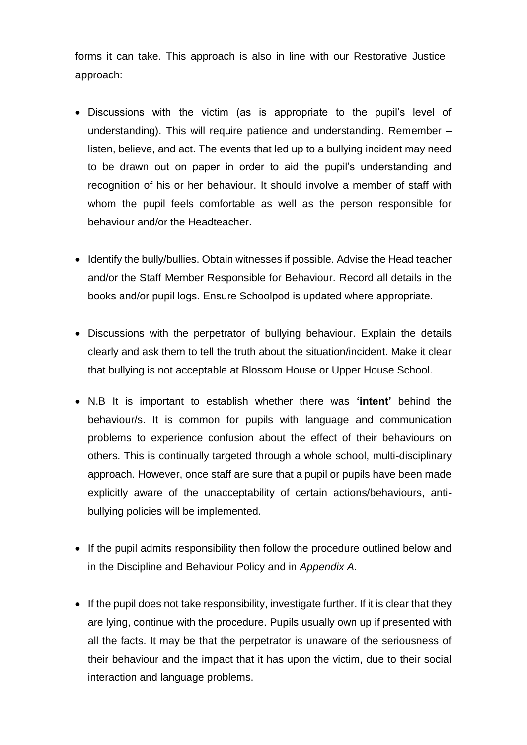forms it can take. This approach is also in line with our Restorative Justice approach:

- Discussions with the victim (as is appropriate to the pupil's level of understanding). This will require patience and understanding. Remember – listen, believe, and act. The events that led up to a bullying incident may need to be drawn out on paper in order to aid the pupil's understanding and recognition of his or her behaviour. It should involve a member of staff with whom the pupil feels comfortable as well as the person responsible for behaviour and/or the Headteacher.
- Identify the bully/bullies. Obtain witnesses if possible. Advise the Head teacher and/or the Staff Member Responsible for Behaviour. Record all details in the books and/or pupil logs. Ensure Schoolpod is updated where appropriate.
- Discussions with the perpetrator of bullying behaviour. Explain the details clearly and ask them to tell the truth about the situation/incident. Make it clear that bullying is not acceptable at Blossom House or Upper House School.
- N.B It is important to establish whether there was **'intent'** behind the behaviour/s. It is common for pupils with language and communication problems to experience confusion about the effect of their behaviours on others. This is continually targeted through a whole school, multi-disciplinary approach. However, once staff are sure that a pupil or pupils have been made explicitly aware of the unacceptability of certain actions/behaviours, antibullying policies will be implemented.
- If the pupil admits responsibility then follow the procedure outlined below and in the Discipline and Behaviour Policy and in *Appendix A*.
- If the pupil does not take responsibility, investigate further. If it is clear that they are lying, continue with the procedure. Pupils usually own up if presented with all the facts. It may be that the perpetrator is unaware of the seriousness of their behaviour and the impact that it has upon the victim, due to their social interaction and language problems.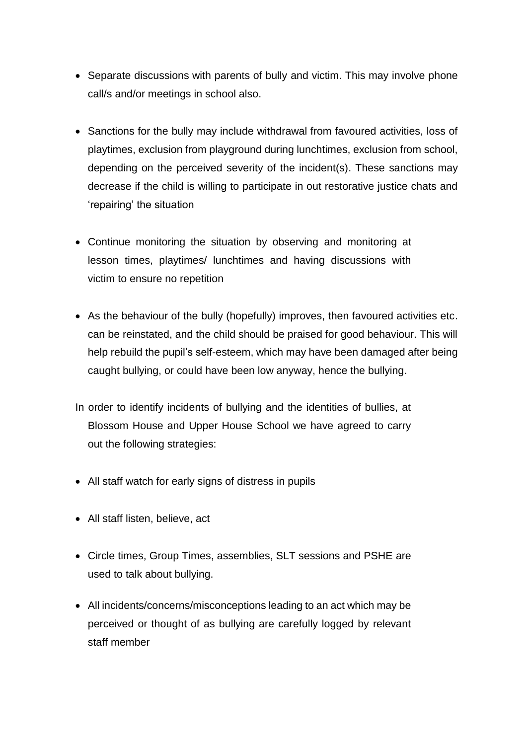- Separate discussions with parents of bully and victim. This may involve phone call/s and/or meetings in school also.
- Sanctions for the bully may include withdrawal from favoured activities, loss of playtimes, exclusion from playground during lunchtimes, exclusion from school, depending on the perceived severity of the incident(s). These sanctions may decrease if the child is willing to participate in out restorative justice chats and 'repairing' the situation
- Continue monitoring the situation by observing and monitoring at lesson times, playtimes/ lunchtimes and having discussions with victim to ensure no repetition
- As the behaviour of the bully (hopefully) improves, then favoured activities etc. can be reinstated, and the child should be praised for good behaviour. This will help rebuild the pupil's self-esteem, which may have been damaged after being caught bullying, or could have been low anyway, hence the bullying.
- In order to identify incidents of bullying and the identities of bullies, at Blossom House and Upper House School we have agreed to carry out the following strategies:
- All staff watch for early signs of distress in pupils
- All staff listen, believe, act
- Circle times, Group Times, assemblies, SLT sessions and PSHE are used to talk about bullying.
- All incidents/concerns/misconceptions leading to an act which may be perceived or thought of as bullying are carefully logged by relevant staff member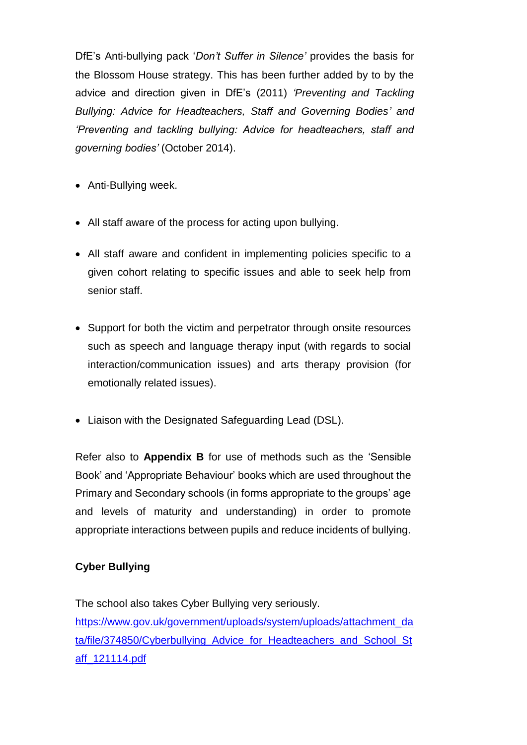DfE's Anti-bullying pack '*Don't Suffer in Silence'* provides the basis for the Blossom House strategy. This has been further added by to by the advice and direction given in DfE's (2011) *'Preventing and Tackling Bullying: Advice for Headteachers, Staff and Governing Bodies' and 'Preventing and tackling bullying: Advice for headteachers, staff and governing bodies'* (October 2014).

- Anti-Bullying week.
- All staff aware of the process for acting upon bullying.
- All staff aware and confident in implementing policies specific to a given cohort relating to specific issues and able to seek help from senior staff.
- Support for both the victim and perpetrator through onsite resources such as speech and language therapy input (with regards to social interaction/communication issues) and arts therapy provision (for emotionally related issues).
- Liaison with the Designated Safeguarding Lead (DSL).

Refer also to **Appendix B** for use of methods such as the 'Sensible Book' and 'Appropriate Behaviour' books which are used throughout the Primary and Secondary schools (in forms appropriate to the groups' age and levels of maturity and understanding) in order to promote appropriate interactions between pupils and reduce incidents of bullying.

### **Cyber Bullying**

The school also takes Cyber Bullying very seriously. [https://www.gov.uk/government/uploads/system/uploads/attachment\\_da](https://www.gov.uk/government/uploads/system/uploads/attachment_data/file/374850/Cyberbullying_Advice_for_Headteachers_and_School_Staff_121114.pdf) [ta/file/374850/Cyberbullying\\_Advice\\_for\\_Headteachers\\_and\\_School\\_St](https://www.gov.uk/government/uploads/system/uploads/attachment_data/file/374850/Cyberbullying_Advice_for_Headteachers_and_School_Staff_121114.pdf) [aff\\_121114.pdf](https://www.gov.uk/government/uploads/system/uploads/attachment_data/file/374850/Cyberbullying_Advice_for_Headteachers_and_School_Staff_121114.pdf)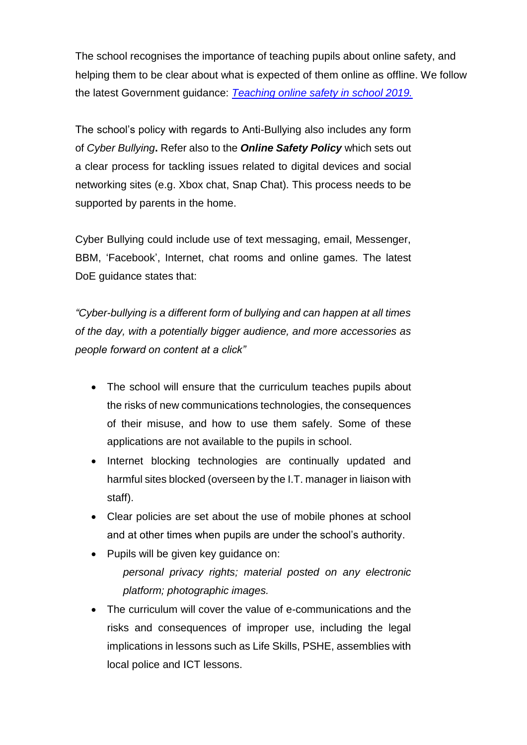The school recognises the importance of teaching pupils about online safety, and helping them to be clear about what is expected of them online as offline. We follow the latest Government guidance: *[Teaching online safety in school 2019.](https://assets.publishing.service.gov.uk/government/uploads/system/uploads/attachment_data/file/811796/Teaching_online_safety_in_school.pdf)*

The school's policy with regards to Anti-Bullying also includes any form of *Cyber Bullying***.** Refer also to the *Online Safety Policy* which sets out a clear process for tackling issues related to digital devices and social networking sites (e.g. Xbox chat, Snap Chat). This process needs to be supported by parents in the home.

Cyber Bullying could include use of text messaging, email, Messenger, BBM, 'Facebook', Internet, chat rooms and online games. The latest DoE guidance states that:

*"Cyber-bullying is a different form of bullying and can happen at all times of the day, with a potentially bigger audience, and more accessories as people forward on content at a click"*

- The school will ensure that the curriculum teaches pupils about the risks of new communications technologies, the consequences of their misuse, and how to use them safely. Some of these applications are not available to the pupils in school.
- Internet blocking technologies are continually updated and harmful sites blocked (overseen by the I.T. manager in liaison with staff).
- Clear policies are set about the use of mobile phones at school and at other times when pupils are under the school's authority.
- Pupils will be given key guidance on: *personal privacy rights; material posted on any electronic platform; photographic images.*
- The curriculum will cover the value of e-communications and the risks and consequences of improper use, including the legal implications in lessons such as Life Skills, PSHE, assemblies with local police and ICT lessons.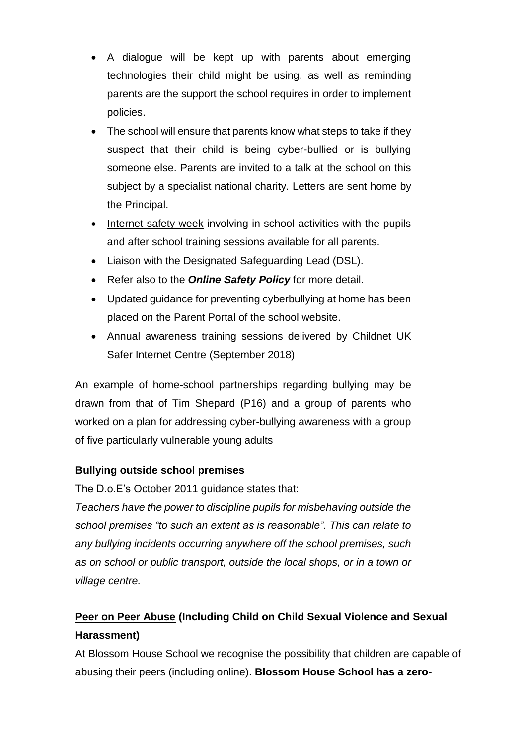- A dialogue will be kept up with parents about emerging technologies their child might be using, as well as reminding parents are the support the school requires in order to implement policies.
- The school will ensure that parents know what steps to take if they suspect that their child is being cyber-bullied or is bullying someone else. Parents are invited to a talk at the school on this subject by a specialist national charity. Letters are sent home by the Principal.
- Internet safety week involving in school activities with the pupils and after school training sessions available for all parents.
- Liaison with the Designated Safeguarding Lead (DSL).
- Refer also to the *Online Safety Policy* for more detail.
- Updated guidance for preventing cyberbullying at home has been placed on the Parent Portal of the school website.
- Annual awareness training sessions delivered by Childnet UK Safer Internet Centre (September 2018)

An example of home-school partnerships regarding bullying may be drawn from that of Tim Shepard (P16) and a group of parents who worked on a plan for addressing cyber-bullying awareness with a group of five particularly vulnerable young adults

# **Bullying outside school premises**

The D.o.E's October 2011 guidance states that:

*Teachers have the power to discipline pupils for misbehaving outside the school premises "to such an extent as is reasonable". This can relate to any bullying incidents occurring anywhere off the school premises, such as on school or public transport, outside the local shops, or in a town or village centre.*

# **Peer on Peer Abuse (Including Child on Child Sexual Violence and Sexual Harassment)**

At Blossom House School we recognise the possibility that children are capable of abusing their peers (including online). **Blossom House School has a zero-**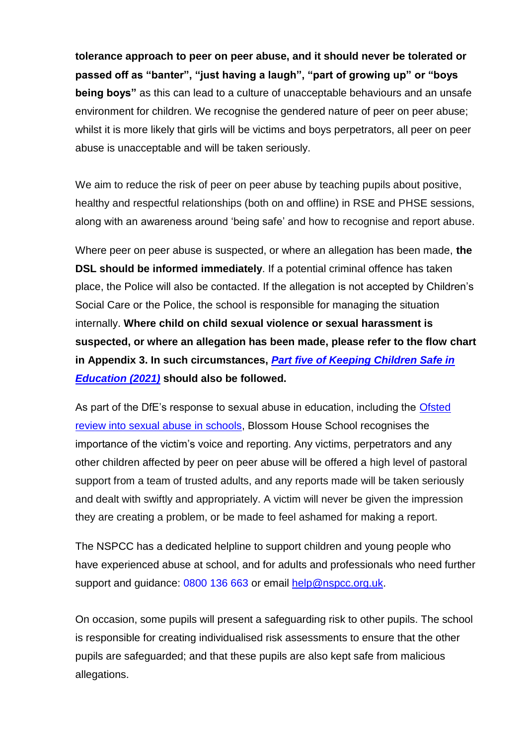**tolerance approach to peer on peer abuse, and it should never be tolerated or passed off as "banter", "just having a laugh", "part of growing up" or "boys being boys"** as this can lead to a culture of unacceptable behaviours and an unsafe environment for children. We recognise the gendered nature of peer on peer abuse; whilst it is more likely that girls will be victims and boys perpetrators, all peer on peer abuse is unacceptable and will be taken seriously.

We aim to reduce the risk of peer on peer abuse by teaching pupils about positive, healthy and respectful relationships (both on and offline) in RSE and PHSE sessions, along with an awareness around 'being safe' and how to recognise and report abuse.

Where peer on peer abuse is suspected, or where an allegation has been made, **the DSL should be informed immediately**. If a potential criminal offence has taken place, the Police will also be contacted. If the allegation is not accepted by Children's Social Care or the Police, the school is responsible for managing the situation internally. **Where child on child sexual violence or sexual harassment is suspected, or where an allegation has been made, please refer to the flow chart in Appendix 3. In such circumstances,** *[Part five of Keeping Children Safe in](https://assets.publishing.service.gov.uk/government/uploads/system/uploads/attachment_data/file/1007260/Keeping_children_safe_in_education_2021.pdf)  [Education](https://assets.publishing.service.gov.uk/government/uploads/system/uploads/attachment_data/file/1007260/Keeping_children_safe_in_education_2021.pdf) (2021)* **should also be followed.**

As part of the DfE's response to sexual abuse in education, including the [Ofsted](https://www.gov.uk/government/publications/ofsted-review-of-sexual-abuse/ofsted-review-into-sexual-abuse-in-schools-terms-of-reference)  [review into sexual abuse in schools,](https://www.gov.uk/government/publications/ofsted-review-of-sexual-abuse/ofsted-review-into-sexual-abuse-in-schools-terms-of-reference) Blossom House School recognises the importance of the victim's voice and reporting. Any victims, perpetrators and any other children affected by peer on peer abuse will be offered a high level of pastoral support from a team of trusted adults, and any reports made will be taken seriously and dealt with swiftly and appropriately. A victim will never be given the impression they are creating a problem, or be made to feel ashamed for making a report.

The NSPCC has a dedicated helpline to support children and young people who have experienced abuse at school, and for adults and professionals who need further support and guidance: 0800 136 663 or email [help@nspcc.org.uk.](mailto:help@nspcc.org.uk)

On occasion, some pupils will present a safeguarding risk to other pupils. The school is responsible for creating individualised risk assessments to ensure that the other pupils are safeguarded; and that these pupils are also kept safe from malicious allegations.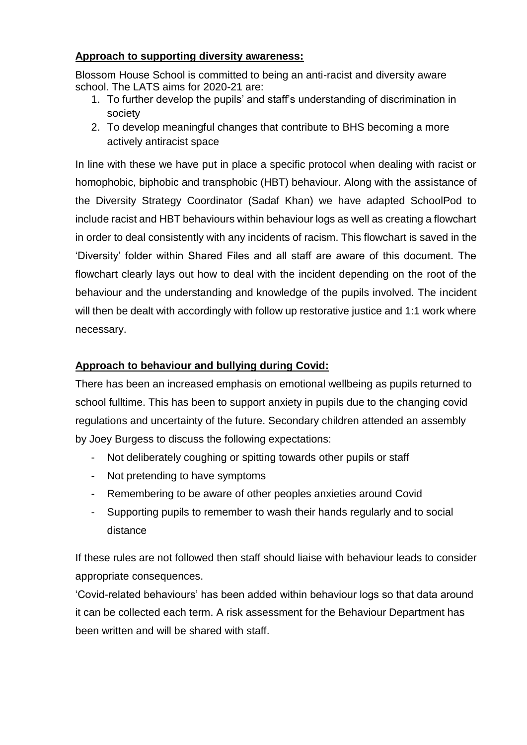### **Approach to supporting diversity awareness:**

Blossom House School is committed to being an anti-racist and diversity aware school. The LATS aims for 2020-21 are:

- 1. To further develop the pupils' and staff's understanding of discrimination in society
- 2. To develop meaningful changes that contribute to BHS becoming a more actively antiracist space

In line with these we have put in place a specific protocol when dealing with racist or homophobic, biphobic and transphobic (HBT) behaviour. Along with the assistance of the Diversity Strategy Coordinator (Sadaf Khan) we have adapted SchoolPod to include racist and HBT behaviours within behaviour logs as well as creating a flowchart in order to deal consistently with any incidents of racism. This flowchart is saved in the 'Diversity' folder within Shared Files and all staff are aware of this document. The flowchart clearly lays out how to deal with the incident depending on the root of the behaviour and the understanding and knowledge of the pupils involved. The incident will then be dealt with accordingly with follow up restorative justice and 1:1 work where necessary.

## **Approach to behaviour and bullying during Covid:**

There has been an increased emphasis on emotional wellbeing as pupils returned to school fulltime. This has been to support anxiety in pupils due to the changing covid regulations and uncertainty of the future. Secondary children attended an assembly by Joey Burgess to discuss the following expectations:

- Not deliberately coughing or spitting towards other pupils or staff
- Not pretending to have symptoms
- Remembering to be aware of other peoples anxieties around Covid
- Supporting pupils to remember to wash their hands regularly and to social distance

If these rules are not followed then staff should liaise with behaviour leads to consider appropriate consequences.

'Covid-related behaviours' has been added within behaviour logs so that data around it can be collected each term. A risk assessment for the Behaviour Department has been written and will be shared with staff.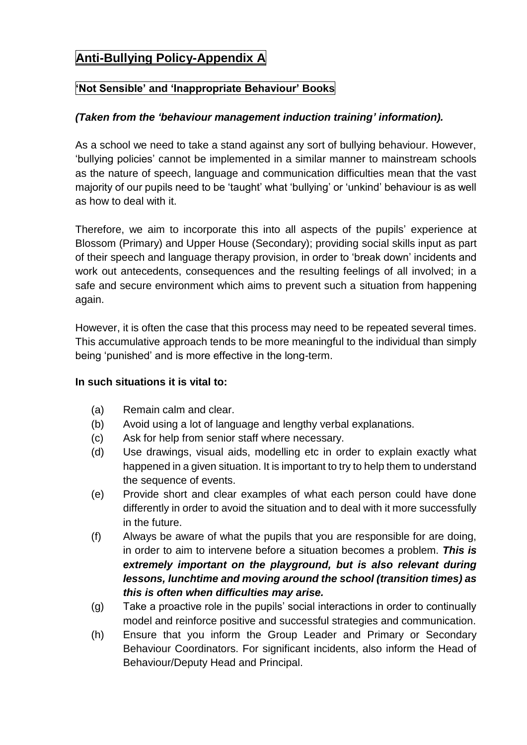# **Anti-Bullying Policy-Appendix A**

## **'Not Sensible' and 'Inappropriate Behaviour' Books**

#### *(Taken from the 'behaviour management induction training' information).*

As a school we need to take a stand against any sort of bullying behaviour. However, 'bullying policies' cannot be implemented in a similar manner to mainstream schools as the nature of speech, language and communication difficulties mean that the vast majority of our pupils need to be 'taught' what 'bullying' or 'unkind' behaviour is as well as how to deal with it.

Therefore, we aim to incorporate this into all aspects of the pupils' experience at Blossom (Primary) and Upper House (Secondary); providing social skills input as part of their speech and language therapy provision, in order to 'break down' incidents and work out antecedents, consequences and the resulting feelings of all involved; in a safe and secure environment which aims to prevent such a situation from happening again.

However, it is often the case that this process may need to be repeated several times. This accumulative approach tends to be more meaningful to the individual than simply being 'punished' and is more effective in the long-term.

#### **In such situations it is vital to:**

- (a) Remain calm and clear.
- (b) Avoid using a lot of language and lengthy verbal explanations.
- (c) Ask for help from senior staff where necessary.
- (d) Use drawings, visual aids, modelling etc in order to explain exactly what happened in a given situation. It is important to try to help them to understand the sequence of events.
- (e) Provide short and clear examples of what each person could have done differently in order to avoid the situation and to deal with it more successfully in the future.
- (f) Always be aware of what the pupils that you are responsible for are doing, in order to aim to intervene before a situation becomes a problem. *This is extremely important on the playground, but is also relevant during lessons, lunchtime and moving around the school (transition times) as this is often when difficulties may arise.*
- (g) Take a proactive role in the pupils' social interactions in order to continually model and reinforce positive and successful strategies and communication.
- (h) Ensure that you inform the Group Leader and Primary or Secondary Behaviour Coordinators. For significant incidents, also inform the Head of Behaviour/Deputy Head and Principal.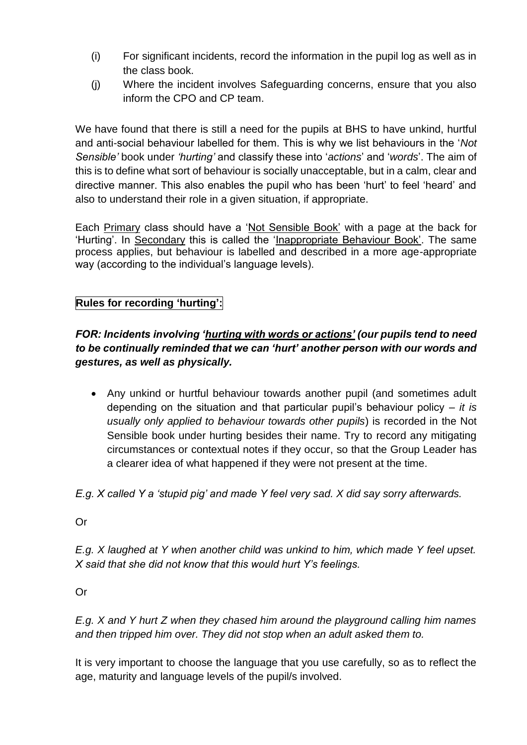- (i) For significant incidents, record the information in the pupil log as well as in the class book.
- (j) Where the incident involves Safeguarding concerns, ensure that you also inform the CPO and CP team.

We have found that there is still a need for the pupils at BHS to have unkind, hurtful and anti-social behaviour labelled for them. This is why we list behaviours in the '*Not Sensible'* book under *'hurting'* and classify these into '*actions*' and '*words*'. The aim of this is to define what sort of behaviour is socially unacceptable, but in a calm, clear and directive manner. This also enables the pupil who has been 'hurt' to feel 'heard' and also to understand their role in a given situation, if appropriate.

Each Primary class should have a 'Not Sensible Book' with a page at the back for 'Hurting'. In Secondary this is called the 'Inappropriate Behaviour Book'. The same process applies, but behaviour is labelled and described in a more age-appropriate way (according to the individual's language levels).

# **Rules for recording 'hurting':**

# *FOR: Incidents involving 'hurting with words or actions' (our pupils tend to need to be continually reminded that we can 'hurt' another person with our words and gestures, as well as physically.*

- Any unkind or hurtful behaviour towards another pupil (and sometimes adult depending on the situation and that particular pupil's behaviour policy – *it is usually only applied to behaviour towards other pupils*) is recorded in the Not Sensible book under hurting besides their name. Try to record any mitigating circumstances or contextual notes if they occur, so that the Group Leader has a clearer idea of what happened if they were not present at the time.
- *E.g. X called Y a 'stupid pig' and made Y feel very sad. X did say sorry afterwards.*

Or

*E.g. X laughed at Y when another child was unkind to him, which made Y feel upset. X said that she did not know that this would hurt Y's feelings.*

Or

*E.g. X and Y hurt Z when they chased him around the playground calling him names and then tripped him over. They did not stop when an adult asked them to.* 

It is very important to choose the language that you use carefully, so as to reflect the age, maturity and language levels of the pupil/s involved.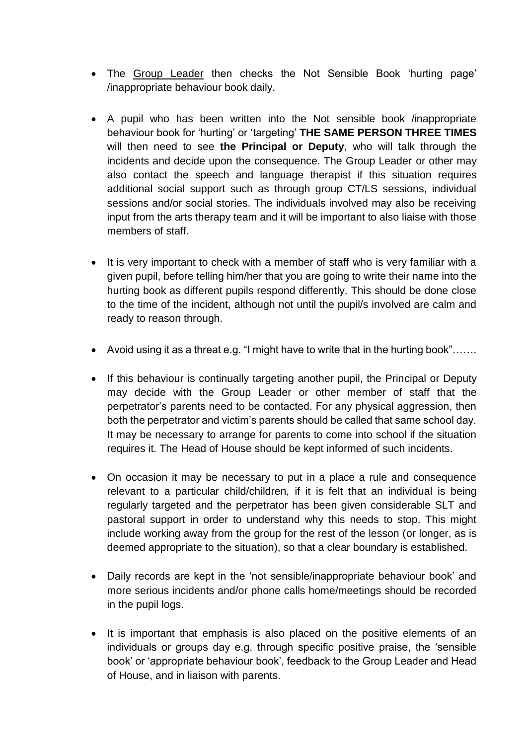- The Group Leader then checks the Not Sensible Book 'hurting page' /inappropriate behaviour book daily.
- A pupil who has been written into the Not sensible book /inappropriate behaviour book for 'hurting' or 'targeting' **THE SAME PERSON THREE TIMES** will then need to see **the Principal or Deputy**, who will talk through the incidents and decide upon the consequence. The Group Leader or other may also contact the speech and language therapist if this situation requires additional social support such as through group CT/LS sessions, individual sessions and/or social stories. The individuals involved may also be receiving input from the arts therapy team and it will be important to also liaise with those members of staff.
- It is very important to check with a member of staff who is very familiar with a given pupil, before telling him/her that you are going to write their name into the hurting book as different pupils respond differently. This should be done close to the time of the incident, although not until the pupil/s involved are calm and ready to reason through.
- Avoid using it as a threat e.g. "I might have to write that in the hurting book"…….
- If this behaviour is continually targeting another pupil, the Principal or Deputy may decide with the Group Leader or other member of staff that the perpetrator's parents need to be contacted. For any physical aggression, then both the perpetrator and victim's parents should be called that same school day. It may be necessary to arrange for parents to come into school if the situation requires it. The Head of House should be kept informed of such incidents.
- On occasion it may be necessary to put in a place a rule and consequence relevant to a particular child/children, if it is felt that an individual is being regularly targeted and the perpetrator has been given considerable SLT and pastoral support in order to understand why this needs to stop. This might include working away from the group for the rest of the lesson (or longer, as is deemed appropriate to the situation), so that a clear boundary is established.
- Daily records are kept in the 'not sensible/inappropriate behaviour book' and more serious incidents and/or phone calls home/meetings should be recorded in the pupil logs.
- It is important that emphasis is also placed on the positive elements of an individuals or groups day e.g. through specific positive praise, the 'sensible book' or 'appropriate behaviour book', feedback to the Group Leader and Head of House, and in liaison with parents.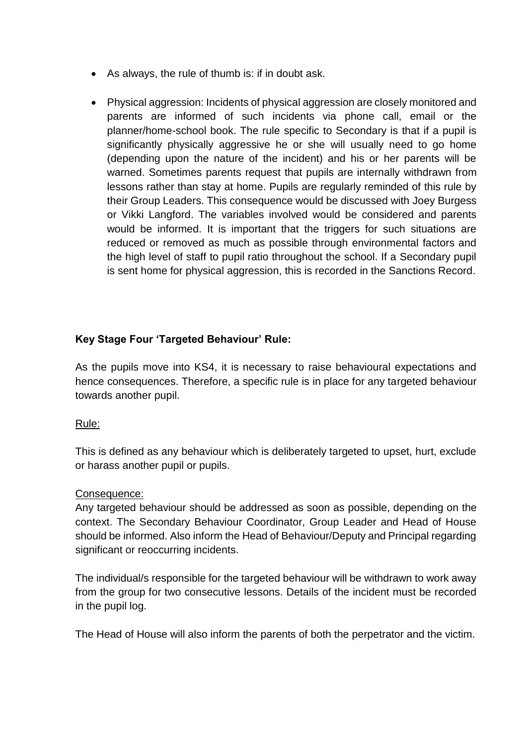- As always, the rule of thumb is: if in doubt ask.
- Physical aggression: Incidents of physical aggression are closely monitored and parents are informed of such incidents via phone call, email or the planner/home-school book. The rule specific to Secondary is that if a pupil is significantly physically aggressive he or she will usually need to go home (depending upon the nature of the incident) and his or her parents will be warned. Sometimes parents request that pupils are internally withdrawn from lessons rather than stay at home. Pupils are regularly reminded of this rule by their Group Leaders. This consequence would be discussed with Joey Burgess or Vikki Langford. The variables involved would be considered and parents would be informed. It is important that the triggers for such situations are reduced or removed as much as possible through environmental factors and the high level of staff to pupil ratio throughout the school. If a Secondary pupil is sent home for physical aggression, this is recorded in the Sanctions Record.

## **Key Stage Four 'Targeted Behaviour' Rule:**

As the pupils move into KS4, it is necessary to raise behavioural expectations and hence consequences. Therefore, a specific rule is in place for any targeted behaviour towards another pupil.

#### Rule:

This is defined as any behaviour which is deliberately targeted to upset, hurt, exclude or harass another pupil or pupils.

#### Consequence:

Any targeted behaviour should be addressed as soon as possible, depending on the context. The Secondary Behaviour Coordinator, Group Leader and Head of House should be informed. Also inform the Head of Behaviour/Deputy and Principal regarding significant or reoccurring incidents.

The individual/s responsible for the targeted behaviour will be withdrawn to work away from the group for two consecutive lessons. Details of the incident must be recorded in the pupil log.

The Head of House will also inform the parents of both the perpetrator and the victim.